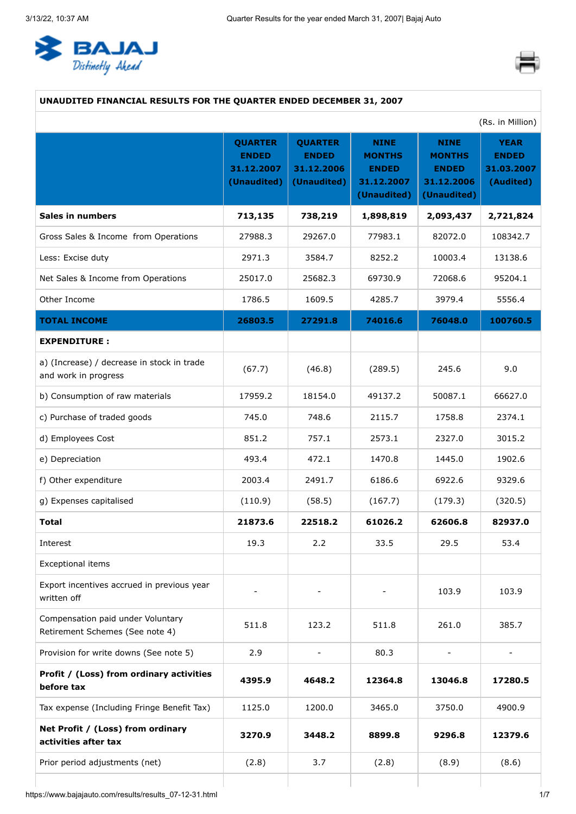<span id="page-0-0"></span>



# **UNAUDITED FINANCIAL RESULTS FOR THE QUARTER ENDED DECEMBER 31, 2007**

| (Rs. in Million)                                                     |                                                             |                                                             |                                                                           |                                                                           |                                                        |  |
|----------------------------------------------------------------------|-------------------------------------------------------------|-------------------------------------------------------------|---------------------------------------------------------------------------|---------------------------------------------------------------------------|--------------------------------------------------------|--|
|                                                                      | <b>QUARTER</b><br><b>ENDED</b><br>31.12.2007<br>(Unaudited) | <b>QUARTER</b><br><b>ENDED</b><br>31.12.2006<br>(Unaudited) | <b>NINE</b><br><b>MONTHS</b><br><b>ENDED</b><br>31.12.2007<br>(Unaudited) | <b>NINE</b><br><b>MONTHS</b><br><b>ENDED</b><br>31.12.2006<br>(Unaudited) | <b>YEAR</b><br><b>ENDED</b><br>31.03.2007<br>(Audited) |  |
| <b>Sales in numbers</b>                                              | 713,135                                                     | 738,219                                                     | 1,898,819                                                                 | 2,093,437                                                                 | 2,721,824                                              |  |
| Gross Sales & Income from Operations                                 | 27988.3                                                     | 29267.0                                                     | 77983.1                                                                   | 82072.0                                                                   | 108342.7                                               |  |
| Less: Excise duty                                                    | 2971.3                                                      | 3584.7                                                      | 8252.2                                                                    | 10003.4                                                                   | 13138.6                                                |  |
| Net Sales & Income from Operations                                   | 25017.0                                                     | 25682.3                                                     | 69730.9                                                                   | 72068.6                                                                   | 95204.1                                                |  |
| Other Income                                                         | 1786.5                                                      | 1609.5                                                      | 4285.7                                                                    | 3979.4                                                                    | 5556.4                                                 |  |
| <b>TOTAL INCOME</b>                                                  | 26803.5                                                     | 27291.8                                                     | 74016.6                                                                   | 76048.0                                                                   | 100760.5                                               |  |
| <b>EXPENDITURE:</b>                                                  |                                                             |                                                             |                                                                           |                                                                           |                                                        |  |
| a) (Increase) / decrease in stock in trade<br>and work in progress   | (67.7)                                                      | (46.8)                                                      | (289.5)                                                                   | 245.6                                                                     | 9.0                                                    |  |
| b) Consumption of raw materials                                      | 17959.2                                                     | 18154.0                                                     | 49137.2                                                                   | 50087.1                                                                   | 66627.0                                                |  |
| c) Purchase of traded goods                                          | 745.0                                                       | 748.6                                                       | 2115.7                                                                    | 1758.8                                                                    | 2374.1                                                 |  |
| d) Employees Cost                                                    | 851.2                                                       | 757.1                                                       | 2573.1                                                                    | 2327.0                                                                    | 3015.2                                                 |  |
| e) Depreciation                                                      | 493.4                                                       | 472.1                                                       | 1470.8                                                                    | 1445.0                                                                    | 1902.6                                                 |  |
| f) Other expenditure                                                 | 2003.4                                                      | 2491.7                                                      | 6186.6                                                                    | 6922.6                                                                    | 9329.6                                                 |  |
| g) Expenses capitalised                                              | (110.9)                                                     | (58.5)                                                      | (167.7)                                                                   | (179.3)                                                                   | (320.5)                                                |  |
| <b>Total</b>                                                         | 21873.6                                                     | 22518.2                                                     | 61026.2                                                                   | 62606.8                                                                   | 82937.0                                                |  |
| Interest                                                             | 19.3                                                        | 2.2                                                         | 33.5                                                                      | 29.5                                                                      | 53.4                                                   |  |
| <b>Exceptional items</b>                                             |                                                             |                                                             |                                                                           |                                                                           |                                                        |  |
| Export incentives accrued in previous year<br>written off            |                                                             |                                                             |                                                                           | 103.9                                                                     | 103.9                                                  |  |
| Compensation paid under Voluntary<br>Retirement Schemes (See note 4) | 511.8                                                       | 123.2                                                       | 511.8                                                                     | 261.0                                                                     | 385.7                                                  |  |
| Provision for write downs (See note 5)                               | 2.9                                                         |                                                             | 80.3                                                                      |                                                                           |                                                        |  |
| Profit / (Loss) from ordinary activities<br>before tax               | 4395.9                                                      | 4648.2                                                      | 12364.8                                                                   | 13046.8                                                                   | 17280.5                                                |  |
| Tax expense (Including Fringe Benefit Tax)                           | 1125.0                                                      | 1200.0                                                      | 3465.0                                                                    | 3750.0                                                                    | 4900.9                                                 |  |
| Net Profit / (Loss) from ordinary<br>activities after tax            | 3270.9                                                      | 3448.2                                                      | 8899.8                                                                    | 9296.8                                                                    | 12379.6                                                |  |
| Prior period adjustments (net)                                       | (2.8)                                                       | 3.7                                                         | (2.8)                                                                     | (8.9)                                                                     | (8.6)                                                  |  |
|                                                                      |                                                             |                                                             |                                                                           |                                                                           |                                                        |  |

https://www.bajajauto.com/results/results\_07-12-31.html 1/7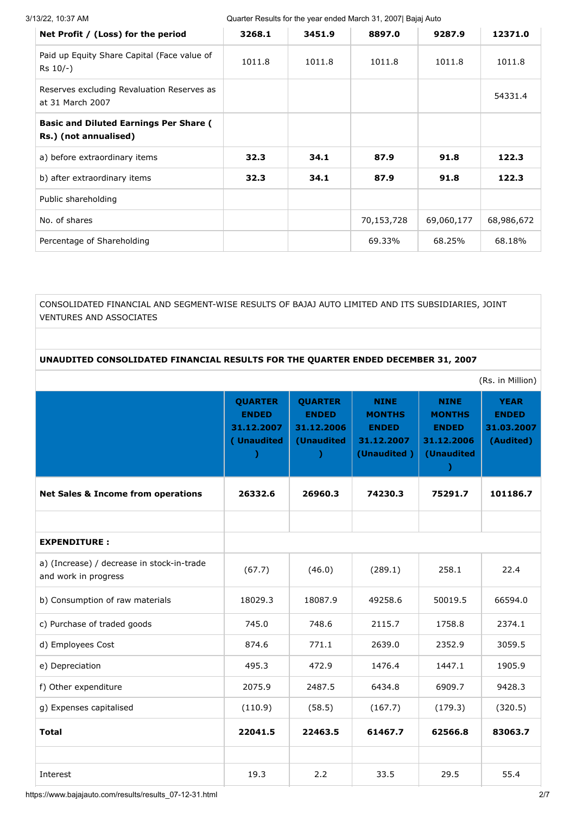3/13/22, 10:37 AM Quarter Results for the year ended March 31, 2007| Bajaj Auto

| Net Profit / (Loss) for the period                                     | 3268.1 | 3451.9 | 8897.0     | 9287.9     | 12371.0    |
|------------------------------------------------------------------------|--------|--------|------------|------------|------------|
| Paid up Equity Share Capital (Face value of<br>$Rs$ 10/-)              | 1011.8 | 1011.8 | 1011.8     | 1011.8     | 1011.8     |
| Reserves excluding Revaluation Reserves as<br>at 31 March 2007         |        |        |            |            | 54331.4    |
| <b>Basic and Diluted Earnings Per Share (</b><br>Rs.) (not annualised) |        |        |            |            |            |
| a) before extraordinary items                                          | 32.3   | 34.1   | 87.9       | 91.8       | 122.3      |
| b) after extraordinary items                                           | 32.3   | 34.1   | 87.9       | 91.8       | 122.3      |
| Public shareholding                                                    |        |        |            |            |            |
| No. of shares                                                          |        |        | 70,153,728 | 69,060,177 | 68,986,672 |
| Percentage of Shareholding                                             |        |        | 69.33%     | 68.25%     | 68.18%     |

CONSOLIDATED FINANCIAL AND SEGMENT-WISE RESULTS OF BAJAJ AUTO LIMITED AND ITS SUBSIDIARIES, JOINT VENTURES AND ASSOCIATES

# **UNAUDITED CONSOLIDATED FINANCIAL RESULTS FOR THE QUARTER ENDED DECEMBER 31, 2007**

|                                                                    |                                                            |                                                            |                                                                           |                                                                          | (Rs. in Million)                                       |
|--------------------------------------------------------------------|------------------------------------------------------------|------------------------------------------------------------|---------------------------------------------------------------------------|--------------------------------------------------------------------------|--------------------------------------------------------|
|                                                                    | <b>QUARTER</b><br><b>ENDED</b><br>31.12.2007<br>(Unaudited | <b>QUARTER</b><br><b>ENDED</b><br>31.12.2006<br>(Unaudited | <b>NINE</b><br><b>MONTHS</b><br><b>ENDED</b><br>31.12.2007<br>(Unaudited) | <b>NINE</b><br><b>MONTHS</b><br><b>ENDED</b><br>31.12.2006<br>(Unaudited | <b>YEAR</b><br><b>ENDED</b><br>31.03.2007<br>(Audited) |
| <b>Net Sales &amp; Income from operations</b>                      | 26332.6                                                    | 26960.3                                                    | 74230.3                                                                   | 75291.7                                                                  | 101186.7                                               |
|                                                                    |                                                            |                                                            |                                                                           |                                                                          |                                                        |
| <b>EXPENDITURE:</b>                                                |                                                            |                                                            |                                                                           |                                                                          |                                                        |
| a) (Increase) / decrease in stock-in-trade<br>and work in progress | (67.7)                                                     | (46.0)                                                     | (289.1)                                                                   | 258.1                                                                    | 22.4                                                   |
| b) Consumption of raw materials                                    | 18029.3                                                    | 18087.9                                                    | 49258.6                                                                   | 50019.5                                                                  | 66594.0                                                |
| c) Purchase of traded goods                                        | 745.0                                                      | 748.6                                                      | 2115.7                                                                    | 1758.8                                                                   | 2374.1                                                 |
| d) Employees Cost                                                  | 874.6                                                      | 771.1                                                      | 2639.0                                                                    | 2352.9                                                                   | 3059.5                                                 |
| e) Depreciation                                                    | 495.3                                                      | 472.9                                                      | 1476.4                                                                    | 1447.1                                                                   | 1905.9                                                 |
| f) Other expenditure                                               | 2075.9                                                     | 2487.5                                                     | 6434.8                                                                    | 6909.7                                                                   | 9428.3                                                 |
| g) Expenses capitalised                                            | (110.9)                                                    | (58.5)                                                     | (167.7)                                                                   | (179.3)                                                                  | (320.5)                                                |
| <b>Total</b>                                                       | 22041.5                                                    | 22463.5                                                    | 61467.7                                                                   | 62566.8                                                                  | 83063.7                                                |
|                                                                    |                                                            |                                                            |                                                                           |                                                                          |                                                        |
| Interest                                                           | 19.3                                                       | 2.2                                                        | 33.5                                                                      | 29.5                                                                     | 55.4                                                   |

https://www.bajajauto.com/results/results\_07-12-31.html 2/7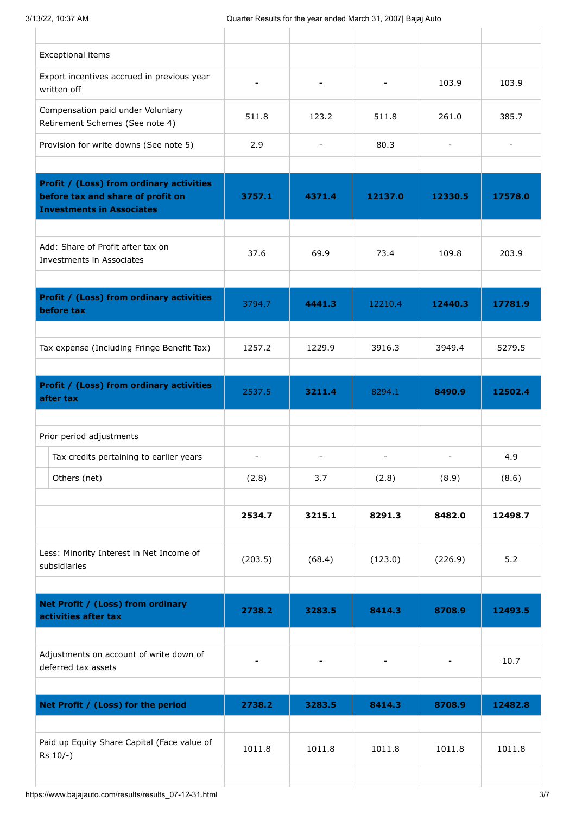| Exceptional items                                                                                                        |                          |                          |                |                              |                |
|--------------------------------------------------------------------------------------------------------------------------|--------------------------|--------------------------|----------------|------------------------------|----------------|
| Export incentives accrued in previous year<br>written off                                                                | $\overline{a}$           |                          |                | 103.9                        | 103.9          |
| Compensation paid under Voluntary<br>Retirement Schemes (See note 4)                                                     | 511.8                    | 123.2                    | 511.8          | 261.0                        | 385.7          |
| Provision for write downs (See note 5)                                                                                   | 2.9                      | $\overline{\phantom{a}}$ | 80.3           | $\qquad \qquad \blacksquare$ | $\blacksquare$ |
| <b>Profit / (Loss) from ordinary activities</b><br>before tax and share of profit on<br><b>Investments in Associates</b> | 3757.1                   | 4371.4                   | 12137.0        | 12330.5                      | 17578.0        |
| Add: Share of Profit after tax on<br>Investments in Associates                                                           | 37.6                     | 69.9                     | 73.4           | 109.8                        | 203.9          |
| <b>Profit / (Loss) from ordinary activities</b><br>before tax                                                            | 3794.7                   | 4441.3                   | 12210.4        | 12440.3                      | 17781.9        |
| Tax expense (Including Fringe Benefit Tax)                                                                               | 1257.2                   | 1229.9                   | 3916.3         | 3949.4                       | 5279.5         |
| <b>Profit / (Loss) from ordinary activities</b><br>after tax                                                             | 2537.5                   | 3211.4                   | 8294.1         | 8490.9                       | 12502.4        |
| Prior period adjustments                                                                                                 |                          |                          |                |                              |                |
| Tax credits pertaining to earlier years                                                                                  |                          |                          |                |                              | 4.9            |
| Others (net)                                                                                                             | (2.8)                    | 3.7                      | (2.8)          | (8.9)                        | (8.6)          |
|                                                                                                                          | 2534.7                   | 3215.1                   | 8291.3         | 8482.0                       | 12498.7        |
| Less: Minority Interest in Net Income of<br>subsidiaries                                                                 | (203.5)                  | (68.4)                   | (123.0)        | (226.9)                      | 5.2            |
| Net Profit / (Loss) from ordinary<br>activities after tax                                                                | 2738.2                   | 3283.5                   | 8414.3         | 8708.9                       | 12493.5        |
| Adjustments on account of write down of<br>deferred tax assets                                                           | $\overline{\phantom{a}}$ | $\overline{\phantom{a}}$ | $\blacksquare$ | -                            | 10.7           |
| Net Profit / (Loss) for the period                                                                                       | 2738.2                   | 3283.5                   | 8414.3         | 8708.9                       | 12482.8        |
|                                                                                                                          |                          |                          |                |                              |                |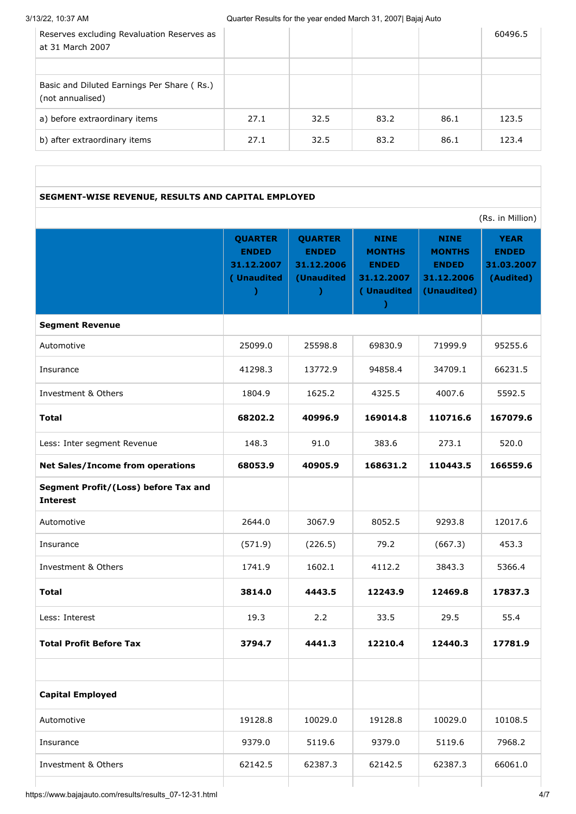3/13/22, 10:37 AM Quarter Results for the year ended March 31, 2007| Bajaj Auto

| Reserves excluding Revaluation Reserves as<br>at 31 March 2007 |      |      |      |      | 60496.5 |
|----------------------------------------------------------------|------|------|------|------|---------|
|                                                                |      |      |      |      |         |
| Basic and Diluted Earnings Per Share (Rs.)<br>(not annualised) |      |      |      |      |         |
| a) before extraordinary items                                  | 27.1 | 32.5 | 83.2 | 86.1 | 123.5   |
| b) after extraordinary items                                   | 27.1 | 32.5 | 83.2 | 86.1 | 123.4   |

# **SEGMENT-WISE REVENUE, RESULTS AND CAPITAL EMPLOYED**

(Rs. in Million)

|                                                         | <b>QUARTER</b><br><b>ENDED</b><br>31.12.2007<br>(Unaudited | <b>QUARTER</b><br><b>ENDED</b><br>31.12.2006<br>(Unaudited<br>-) | <b>NINE</b><br><b>MONTHS</b><br><b>ENDED</b><br>31.12.2007<br>(Unaudited | <b>NINE</b><br><b>MONTHS</b><br><b>ENDED</b><br>31.12.2006<br>(Unaudited) | <b>YEAR</b><br><b>ENDED</b><br>31.03.2007<br>(Audited) |
|---------------------------------------------------------|------------------------------------------------------------|------------------------------------------------------------------|--------------------------------------------------------------------------|---------------------------------------------------------------------------|--------------------------------------------------------|
| <b>Segment Revenue</b>                                  |                                                            |                                                                  |                                                                          |                                                                           |                                                        |
| Automotive                                              | 25099.0                                                    | 25598.8                                                          | 69830.9                                                                  | 71999.9                                                                   | 95255.6                                                |
| Insurance                                               | 41298.3                                                    | 13772.9                                                          | 94858.4                                                                  | 34709.1                                                                   | 66231.5                                                |
| Investment & Others                                     | 1804.9                                                     | 1625.2                                                           | 4325.5                                                                   | 4007.6                                                                    | 5592.5                                                 |
| <b>Total</b>                                            | 68202.2                                                    | 40996.9                                                          | 169014.8                                                                 | 110716.6                                                                  | 167079.6                                               |
| Less: Inter segment Revenue                             | 148.3                                                      | 91.0                                                             | 383.6                                                                    | 273.1                                                                     | 520.0                                                  |
| <b>Net Sales/Income from operations</b>                 | 68053.9                                                    | 40905.9                                                          | 168631.2                                                                 | 110443.5                                                                  | 166559.6                                               |
| Segment Profit/(Loss) before Tax and<br><b>Interest</b> |                                                            |                                                                  |                                                                          |                                                                           |                                                        |
| Automotive                                              | 2644.0                                                     | 3067.9                                                           | 8052.5                                                                   | 9293.8                                                                    | 12017.6                                                |
| Insurance                                               | (571.9)                                                    | (226.5)                                                          | 79.2                                                                     | (667.3)                                                                   | 453.3                                                  |
| Investment & Others                                     | 1741.9                                                     | 1602.1                                                           | 4112.2                                                                   | 3843.3                                                                    | 5366.4                                                 |
| <b>Total</b>                                            | 3814.0                                                     | 4443.5                                                           | 12243.9                                                                  | 12469.8                                                                   | 17837.3                                                |
| Less: Interest                                          | 19.3                                                       | 2.2                                                              | 33.5                                                                     | 29.5                                                                      | 55.4                                                   |
| <b>Total Profit Before Tax</b>                          | 3794.7                                                     | 4441.3                                                           | 12210.4                                                                  | 12440.3                                                                   | 17781.9                                                |
| <b>Capital Employed</b>                                 |                                                            |                                                                  |                                                                          |                                                                           |                                                        |
| Automotive                                              | 19128.8                                                    | 10029.0                                                          | 19128.8                                                                  | 10029.0                                                                   | 10108.5                                                |
| Insurance                                               | 9379.0                                                     | 5119.6                                                           | 9379.0                                                                   | 5119.6                                                                    | 7968.2                                                 |
| Investment & Others                                     | 62142.5                                                    | 62387.3                                                          | 62142.5                                                                  | 62387.3                                                                   | 66061.0                                                |

https://www.bajajauto.com/results/results\_07-12-31.html 4/7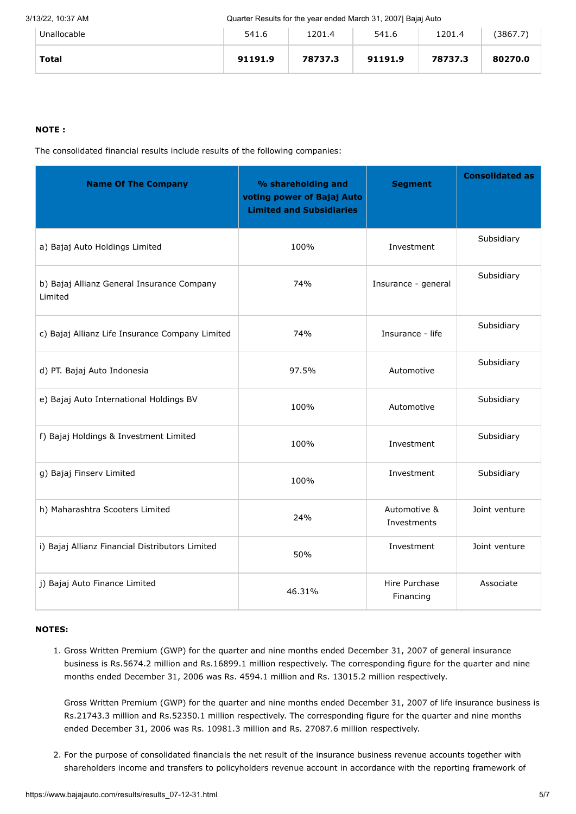### 3/13/22, 10:37 AM Quarter Results for the year ended March 31, 2007| Bajaj Auto

| Unallocable  | 541.6   | 1201.4  | 541.6   | 1201.4  | (3867.7) |
|--------------|---------|---------|---------|---------|----------|
| <b>Total</b> | 91191.9 | 78737.3 | 91191.9 | 78737.3 | 80270.0  |

## **NOTE :**

The consolidated financial results include results of the following companies:

| <b>Name Of The Company</b>                            | % shareholding and<br>voting power of Bajaj Auto<br><b>Limited and Subsidiaries</b> | <b>Segment</b>              | <b>Consolidated as</b> |
|-------------------------------------------------------|-------------------------------------------------------------------------------------|-----------------------------|------------------------|
| a) Bajaj Auto Holdings Limited                        | 100%                                                                                | Investment                  | Subsidiary             |
| b) Bajaj Allianz General Insurance Company<br>Limited | 74%                                                                                 | Insurance - general         | Subsidiary             |
| c) Bajaj Allianz Life Insurance Company Limited       | 74%                                                                                 | Insurance - life            | Subsidiary             |
| d) PT. Bajaj Auto Indonesia                           | 97.5%                                                                               | Automotive                  | Subsidiary             |
| e) Bajaj Auto International Holdings BV               | 100%                                                                                | Automotive                  | Subsidiary             |
| f) Bajaj Holdings & Investment Limited                | 100%                                                                                | Investment                  | Subsidiary             |
| g) Bajaj Finserv Limited                              | 100%                                                                                | Investment                  | Subsidiary             |
| h) Maharashtra Scooters Limited                       | 24%                                                                                 | Automotive &<br>Investments | Joint venture          |
| i) Bajaj Allianz Financial Distributors Limited       | 50%                                                                                 | Investment                  | Joint venture          |
| j) Bajaj Auto Finance Limited                         | 46.31%                                                                              | Hire Purchase<br>Financing  | Associate              |

## **NOTES:**

1. Gross Written Premium (GWP) for the quarter and nine months ended December 31, 2007 of general insurance business is Rs.5674.2 million and Rs.16899.1 million respectively. The corresponding figure for the quarter and nine months ended December 31, 2006 was Rs. 4594.1 million and Rs. 13015.2 million respectively.

Gross Written Premium (GWP) for the quarter and nine months ended December 31, 2007 of life insurance business is Rs.21743.3 million and Rs.52350.1 million respectively. The corresponding figure for the quarter and nine months ended December 31, 2006 was Rs. 10981.3 million and Rs. 27087.6 million respectively.

2. For the purpose of consolidated financials the net result of the insurance business revenue accounts together with shareholders income and transfers to policyholders revenue account in accordance with the reporting framework of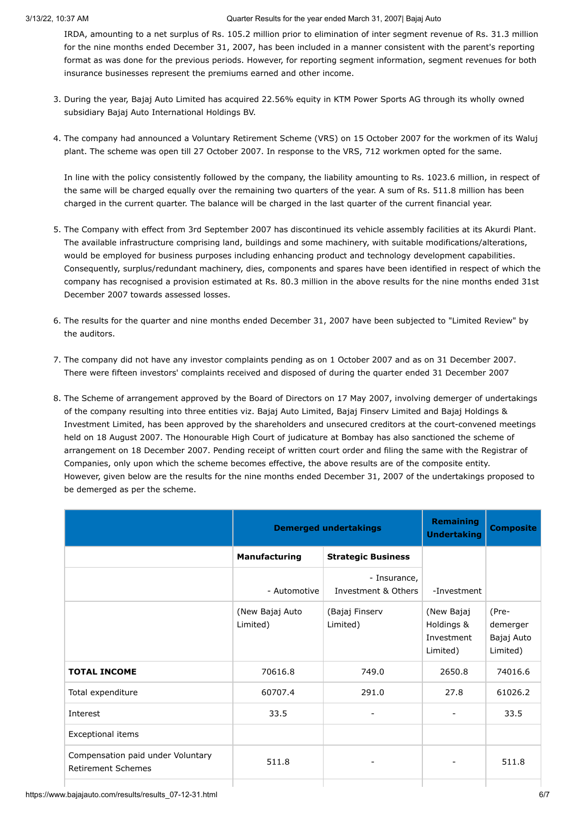IRDA, amounting to a net surplus of Rs. 105.2 million prior to elimination of inter segment revenue of Rs. 31.3 million for the nine months ended December 31, 2007, has been included in a manner consistent with the parent's reporting format as was done for the previous periods. However, for reporting segment information, segment revenues for both insurance businesses represent the premiums earned and other income.

- 3. During the year, Bajaj Auto Limited has acquired 22.56% equity in KTM Power Sports AG through its wholly owned subsidiary Bajaj Auto International Holdings BV.
- 4. The company had announced a Voluntary Retirement Scheme (VRS) on 15 October 2007 for the workmen of its Waluj plant. The scheme was open till 27 October 2007. In response to the VRS, 712 workmen opted for the same.

In line with the policy consistently followed by the company, the liability amounting to Rs. 1023.6 million, in respect of the same will be charged equally over the remaining two quarters of the year. A sum of Rs. 511.8 million has been charged in the current quarter. The balance will be charged in the last quarter of the current financial year.

- 5. The Company with effect from 3rd September 2007 has discontinued its vehicle assembly facilities at its Akurdi Plant. The available infrastructure comprising land, buildings and some machinery, with suitable modifications/alterations, would be employed for business purposes including enhancing product and technology development capabilities. Consequently, surplus/redundant machinery, dies, components and spares have been identified in respect of which the company has recognised a provision estimated at Rs. 80.3 million in the above results for the nine months ended 31st December 2007 towards assessed losses.
- 6. The results for the quarter and nine months ended December 31, 2007 have been subjected to "Limited Review" by the auditors.
- 7. The company did not have any investor complaints pending as on 1 October 2007 and as on 31 December 2007. There were fifteen investors' complaints received and disposed of during the quarter ended 31 December 2007
- 8. The Scheme of arrangement approved by the Board of Directors on 17 May 2007, involving demerger of undertakings of the company resulting into three entities viz. Bajaj Auto Limited, Bajaj Finserv Limited and Bajaj Holdings & Investment Limited, has been approved by the shareholders and unsecured creditors at the court-convened meetings held on 18 August 2007. The Honourable High Court of judicature at Bombay has also sanctioned the scheme of arrangement on 18 December 2007. Pending receipt of written court order and filing the same with the Registrar of Companies, only upon which the scheme becomes effective, the above results are of the composite entity. However, given below are the results for the nine months ended December 31, 2007 of the undertakings proposed to be demerged as per the scheme.

|                                                                | <b>Demerged undertakings</b> | <b>Remaining</b><br><b>Undertaking</b> | <b>Composite</b>                                   |                                             |
|----------------------------------------------------------------|------------------------------|----------------------------------------|----------------------------------------------------|---------------------------------------------|
|                                                                | <b>Manufacturing</b>         | <b>Strategic Business</b>              |                                                    |                                             |
|                                                                | - Automotive                 | - Insurance,<br>Investment & Others    | -Investment                                        |                                             |
|                                                                | (New Bajaj Auto<br>Limited)  | (Bajaj Finserv<br>Limited)             | (New Bajaj<br>Holdings &<br>Investment<br>Limited) | (Pre-<br>demerger<br>Bajaj Auto<br>Limited) |
| <b>TOTAL INCOME</b>                                            | 70616.8                      | 749.0                                  | 2650.8                                             | 74016.6                                     |
| Total expenditure                                              | 60707.4                      | 291.0                                  | 27.8                                               | 61026.2                                     |
| Interest                                                       | 33.5                         | $\qquad \qquad \blacksquare$           |                                                    | 33.5                                        |
| Exceptional items                                              |                              |                                        |                                                    |                                             |
| Compensation paid under Voluntary<br><b>Retirement Schemes</b> | 511.8                        |                                        |                                                    | 511.8                                       |